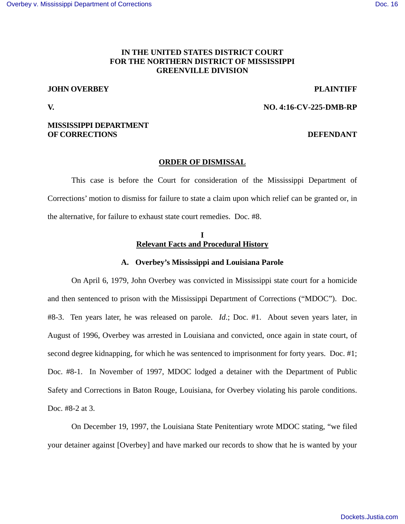# **IN THE UNITED STATES DISTRICT COURT FOR THE NORTHERN DISTRICT OF MISSISSIPPI GREENVILLE DIVISION**

# **JOHN OVERBEY PLAINTIFF**

### **V. NO. 4:16-CV-225-DMB-RP**

## **MISSISSIPPI DEPARTMENT OF CORRECTIONS** DEFENDANT

### **ORDER OF DISMISSAL**

This case is before the Court for consideration of the Mississippi Department of Corrections' motion to dismiss for failure to state a claim upon which relief can be granted or, in the alternative, for failure to exhaust state court remedies. Doc. #8.

#### **I Relevant Facts and Procedural History**

### **A. Overbey's Mississippi and Louisiana Parole**

On April 6, 1979, John Overbey was convicted in Mississippi state court for a homicide and then sentenced to prison with the Mississippi Department of Corrections ("MDOC"). Doc. #8-3. Ten years later, he was released on parole. *Id*.; Doc. #1. About seven years later, in August of 1996, Overbey was arrested in Louisiana and convicted, once again in state court, of second degree kidnapping, for which he was sentenced to imprisonment for forty years. Doc. #1; Doc. #8-1. In November of 1997, MDOC lodged a detainer with the Department of Public Safety and Corrections in Baton Rouge, Louisiana, for Overbey violating his parole conditions. Doc. #8-2 at 3.

On December 19, 1997, the Louisiana State Penitentiary wrote MDOC stating, "we filed your detainer against [Overbey] and have marked our records to show that he is wanted by your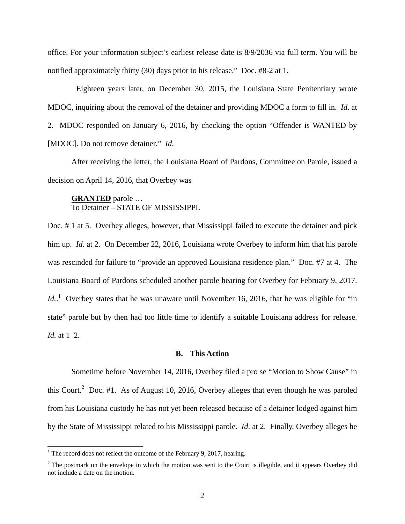office. For your information subject's earliest release date is 8/9/2036 via full term. You will be notified approximately thirty (30) days prior to his release." Doc. #8-2 at 1.

 Eighteen years later, on December 30, 2015, the Louisiana State Penitentiary wrote MDOC, inquiring about the removal of the detainer and providing MDOC a form to fill in. *Id*. at 2. MDOC responded on January 6, 2016, by checking the option "Offender is WANTED by [MDOC]. Do not remove detainer." *Id*.

After receiving the letter, the Louisiana Board of Pardons, Committee on Parole, issued a decision on April 14, 2016, that Overbey was

## **GRANTED** parole … To Detainer – STATE OF MISSISSIPPI.

Doc. # 1 at 5. Overbey alleges, however, that Mississippi failed to execute the detainer and pick him up. *Id.* at 2. On December 22, 2016, Louisiana wrote Overbey to inform him that his parole was rescinded for failure to "provide an approved Louisiana residence plan." Doc. #7 at 4. The Louisiana Board of Pardons scheduled another parole hearing for Overbey for February 9, 2017. Id..<sup>1</sup> Overbey states that he was unaware until November 16, 2016, that he was eligible for "in state" parole but by then had too little time to identify a suitable Louisiana address for release. *Id.* at 1–2.

## **B. This Action**

Sometime before November 14, 2016, Overbey filed a pro se "Motion to Show Cause" in this Court.<sup>2</sup> Doc. #1. As of August 10, 2016, Overbey alleges that even though he was paroled from his Louisiana custody he has not yet been released because of a detainer lodged against him by the State of Mississippi related to his Mississippi parole. *Id*. at 2. Finally, Overbey alleges he

1

<sup>&</sup>lt;sup>1</sup> The record does not reflect the outcome of the February 9, 2017, hearing.

 $2^2$  The postmark on the envelope in which the motion was sent to the Court is illegible, and it appears Overbey did not include a date on the motion.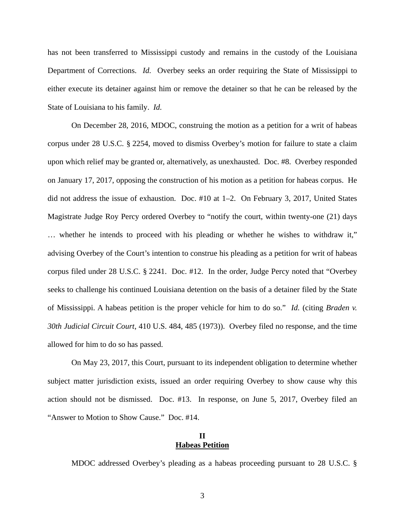has not been transferred to Mississippi custody and remains in the custody of the Louisiana Department of Corrections. *Id.* Overbey seeks an order requiring the State of Mississippi to either execute its detainer against him or remove the detainer so that he can be released by the State of Louisiana to his family. *Id.*

On December 28, 2016, MDOC, construing the motion as a petition for a writ of habeas corpus under 28 U.S.C. § 2254, moved to dismiss Overbey's motion for failure to state a claim upon which relief may be granted or, alternatively, as unexhausted. Doc. #8. Overbey responded on January 17, 2017, opposing the construction of his motion as a petition for habeas corpus. He did not address the issue of exhaustion. Doc. #10 at 1–2. On February 3, 2017, United States Magistrate Judge Roy Percy ordered Overbey to "notify the court, within twenty-one (21) days … whether he intends to proceed with his pleading or whether he wishes to withdraw it," advising Overbey of the Court's intention to construe his pleading as a petition for writ of habeas corpus filed under 28 U.S.C. § 2241. Doc. #12. In the order, Judge Percy noted that "Overbey seeks to challenge his continued Louisiana detention on the basis of a detainer filed by the State of Mississippi. A habeas petition is the proper vehicle for him to do so." *Id.* (citing *Braden v. 30th Judicial Circuit Court*, 410 U.S. 484, 485 (1973)).Overbey filed no response, and the time allowed for him to do so has passed.

On May 23, 2017, this Court, pursuant to its independent obligation to determine whether subject matter jurisdiction exists, issued an order requiring Overbey to show cause why this action should not be dismissed. Doc. #13. In response, on June 5, 2017, Overbey filed an "Answer to Motion to Show Cause." Doc. #14.

## **II Habeas Petition**

MDOC addressed Overbey's pleading as a habeas proceeding pursuant to 28 U.S.C. §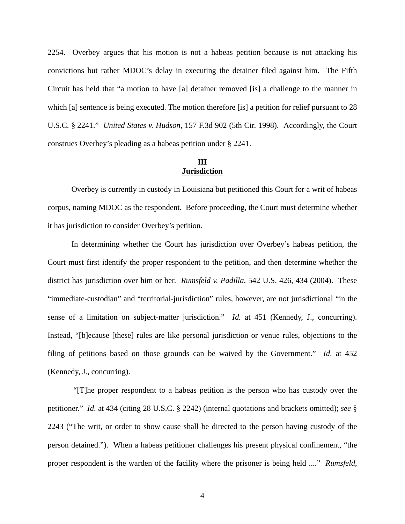2254. Overbey argues that his motion is not a habeas petition because is not attacking his convictions but rather MDOC's delay in executing the detainer filed against him. The Fifth Circuit has held that "a motion to have [a] detainer removed [is] a challenge to the manner in which [a] sentence is being executed. The motion therefore [is] a petition for relief pursuant to 28 U.S.C. § 2241." *United States v. Hudson*, 157 F.3d 902 (5th Cir. 1998). Accordingly, the Court construes Overbey's pleading as a habeas petition under § 2241.

## **III Jurisdiction**

Overbey is currently in custody in Louisiana but petitioned this Court for a writ of habeas corpus, naming MDOC as the respondent. Before proceeding, the Court must determine whether it has jurisdiction to consider Overbey's petition.

In determining whether the Court has jurisdiction over Overbey's habeas petition, the Court must first identify the proper respondent to the petition, and then determine whether the district has jurisdiction over him or her. *Rumsfeld v. Padilla*, 542 U.S. 426, 434 (2004). These "immediate-custodian" and "territorial-jurisdiction" rules, however, are not jurisdictional "in the sense of a limitation on subject-matter jurisdiction." *Id.* at 451 (Kennedy, J., concurring). Instead, "[b]ecause [these] rules are like personal jurisdiction or venue rules, objections to the filing of petitions based on those grounds can be waived by the Government." *Id*. at 452 (Kennedy, J., concurring).

 "[T]he proper respondent to a habeas petition is the person who has custody over the petitioner." *Id*. at 434 (citing 28 U.S.C. § 2242) (internal quotations and brackets omitted); *see* § 2243 ("The writ, or order to show cause shall be directed to the person having custody of the person detained."). When a habeas petitioner challenges his present physical confinement, "the proper respondent is the warden of the facility where the prisoner is being held ...." *Rumsfeld*,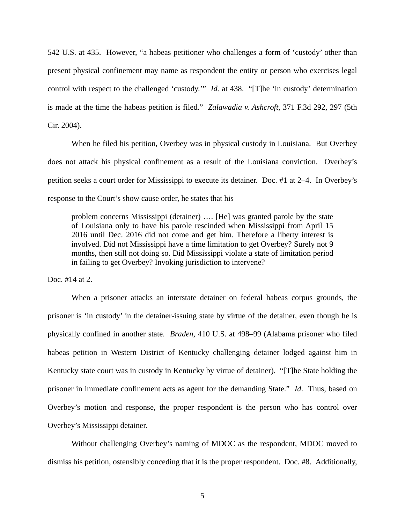542 U.S. at 435. However, "a habeas petitioner who challenges a form of 'custody' other than present physical confinement may name as respondent the entity or person who exercises legal control with respect to the challenged 'custody.'" *Id.* at 438. "[T]he 'in custody' determination is made at the time the habeas petition is filed." *Zalawadia v. Ashcroft*, 371 F.3d 292, 297 (5th Cir. 2004).

When he filed his petition, Overbey was in physical custody in Louisiana. But Overbey does not attack his physical confinement as a result of the Louisiana conviction. Overbey's petition seeks a court order for Mississippi to execute its detainer. Doc. #1 at 2–4. In Overbey's response to the Court's show cause order, he states that his

problem concerns Mississippi (detainer) …. [He] was granted parole by the state of Louisiana only to have his parole rescinded when Mississippi from April 15 2016 until Dec. 2016 did not come and get him. Therefore a liberty interest is involved. Did not Mississippi have a time limitation to get Overbey? Surely not 9 months, then still not doing so. Did Mississippi violate a state of limitation period in failing to get Overbey? Invoking jurisdiction to intervene?

Doc. #14 at 2.

When a prisoner attacks an interstate detainer on federal habeas corpus grounds, the prisoner is 'in custody' in the detainer-issuing state by virtue of the detainer, even though he is physically confined in another state. *Braden*, 410 U.S. at 498–99 (Alabama prisoner who filed habeas petition in Western District of Kentucky challenging detainer lodged against him in Kentucky state court was in custody in Kentucky by virtue of detainer). "[T]he State holding the prisoner in immediate confinement acts as agent for the demanding State." *Id*. Thus, based on Overbey's motion and response, the proper respondent is the person who has control over Overbey's Mississippi detainer.

Without challenging Overbey's naming of MDOC as the respondent, MDOC moved to dismiss his petition, ostensibly conceding that it is the proper respondent. Doc. #8. Additionally,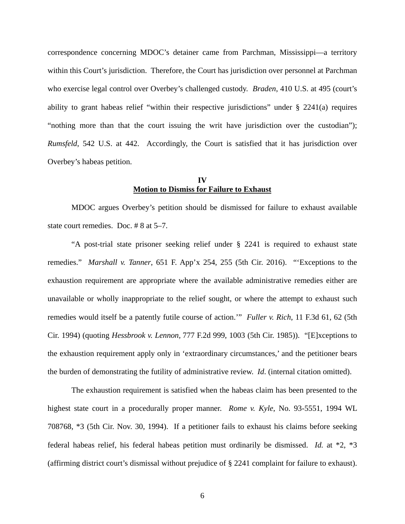correspondence concerning MDOC's detainer came from Parchman, Mississippi—a territory within this Court's jurisdiction. Therefore, the Court has jurisdiction over personnel at Parchman who exercise legal control over Overbey's challenged custody. *Braden*, 410 U.S. at 495 (court's ability to grant habeas relief "within their respective jurisdictions" under § 2241(a) requires "nothing more than that the court issuing the writ have jurisdiction over the custodian"); *Rumsfeld*, 542 U.S. at 442. Accordingly, the Court is satisfied that it has jurisdiction over Overbey's habeas petition.

## **IV Motion to Dismiss for Failure to Exhaust**

MDOC argues Overbey's petition should be dismissed for failure to exhaust available state court remedies. Doc. # 8 at 5–7.

"A post-trial state prisoner seeking relief under § 2241 is required to exhaust state remedies." *Marshall v. Tanner*, 651 F. App'x 254, 255 (5th Cir. 2016). "'Exceptions to the exhaustion requirement are appropriate where the available administrative remedies either are unavailable or wholly inappropriate to the relief sought, or where the attempt to exhaust such remedies would itself be a patently futile course of action.'" *Fuller v. Rich*, 11 F.3d 61, 62 (5th Cir. 1994) (quoting *Hessbrook v. Lennon,* 777 F.2d 999, 1003 (5th Cir. 1985)). "[E]xceptions to the exhaustion requirement apply only in 'extraordinary circumstances,' and the petitioner bears the burden of demonstrating the futility of administrative review. *Id*. (internal citation omitted).

The exhaustion requirement is satisfied when the habeas claim has been presented to the highest state court in a procedurally proper manner. *Rome v. Kyle*, No. 93-5551, 1994 WL 708768, \*3 (5th Cir. Nov. 30, 1994). If a petitioner fails to exhaust his claims before seeking federal habeas relief, his federal habeas petition must ordinarily be dismissed. *Id.* at \*2, \*3 (affirming district court's dismissal without prejudice of § 2241 complaint for failure to exhaust).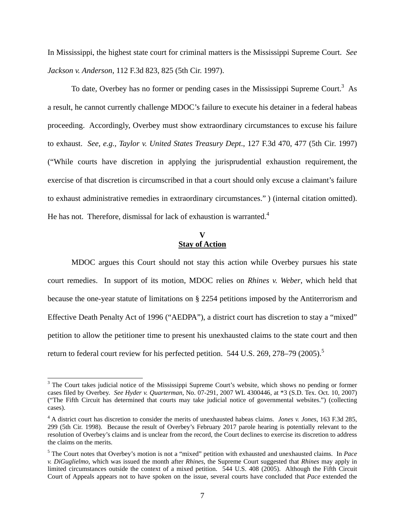In Mississippi, the highest state court for criminal matters is the Mississippi Supreme Court. *See Jackson v. Anderson*, 112 F.3d 823, 825 (5th Cir. 1997).

To date, Overbey has no former or pending cases in the Mississippi Supreme Court.<sup>3</sup> As a result, he cannot currently challenge MDOC's failure to execute his detainer in a federal habeas proceeding. Accordingly, Overbey must show extraordinary circumstances to excuse his failure to exhaust. *See, e.g., Taylor v. United States Treasury Dept*., 127 F.3d 470, 477 (5th Cir. 1997) ("While courts have discretion in applying the jurisprudential exhaustion requirement, the exercise of that discretion is circumscribed in that a court should only excuse a claimant's failure to exhaust administrative remedies in extraordinary circumstances." ) (internal citation omitted). He has not. Therefore, dismissal for lack of exhaustion is warranted.<sup>4</sup>

## **V Stay of Action**

MDOC argues this Court should not stay this action while Overbey pursues his state court remedies. In support of its motion, MDOC relies on *Rhines v. Weber*, which held that because the one-year statute of limitations on § 2254 petitions imposed by the Antiterrorism and Effective Death Penalty Act of 1996 ("AEDPA"), a district court has discretion to stay a "mixed" petition to allow the petitioner time to present his unexhausted claims to the state court and then return to federal court review for his perfected petition.  $544$  U.S.  $269$ ,  $278-79$   $(2005)$ .<sup>5</sup>

<sup>&</sup>lt;sup>3</sup> The Court takes judicial notice of the Mississippi Supreme Court's website, which shows no pending or former cases filed by Overbey. *See Hyder v. Quarterman*, No. 07-291, 2007 WL 4300446, at \*3 (S.D. Tex. Oct. 10, 2007) ("The Fifth Circuit has determined that courts may take judicial notice of governmental websites.") (collecting cases).

<sup>4</sup> A district court has discretion to consider the merits of unexhausted habeas claims. *Jones v. Jones*, 163 F.3d 285, 299 (5th Cir. 1998). Because the result of Overbey's February 2017 parole hearing is potentially relevant to the resolution of Overbey's claims and is unclear from the record, the Court declines to exercise its discretion to address the claims on the merits.

<sup>5</sup> The Court notes that Overbey's motion is not a "mixed" petition with exhausted and unexhausted claims. In *Pace v. DiGuglielmo*, which was issued the month after *Rhines*, the Supreme Court suggested that *Rhines* may apply in limited circumstances outside the context of a mixed petition. 544 U.S. 408 (2005). Although the Fifth Circuit Court of Appeals appears not to have spoken on the issue, several courts have concluded that *Pace* extended the